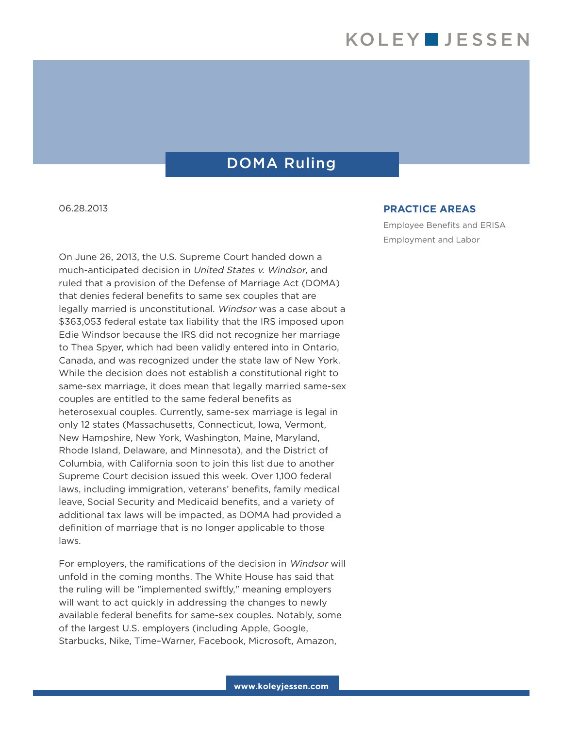## DOMA Ruling

06.28.2013

On June 26, 2013, the U.S. Supreme Court handed down a much-anticipated decision in United States v. Windsor, and ruled that a provision of the Defense of Marriage Act (DOMA) that denies federal benefits to same sex couples that are legally married is unconstitutional. Windsor was a case about a \$363,053 federal estate tax liability that the IRS imposed upon Edie Windsor because the IRS did not recognize her marriage to Thea Spyer, which had been validly entered into in Ontario, Canada, and was recognized under the state law of New York. While the decision does not establish a constitutional right to same-sex marriage, it does mean that legally married same-sex couples are entitled to the same federal benefits as heterosexual couples. Currently, same-sex marriage is legal in only 12 states (Massachusetts, Connecticut, Iowa, Vermont, New Hampshire, New York, Washington, Maine, Maryland, Rhode Island, Delaware, and Minnesota), and the District of Columbia, with California soon to join this list due to another Supreme Court decision issued this week. Over 1,100 federal laws, including immigration, veterans' benefits, family medical leave, Social Security and Medicaid benefits, and a variety of additional tax laws will be impacted, as DOMA had provided a definition of marriage that is no longer applicable to those laws.

For employers, the ramifications of the decision in Windsor will unfold in the coming months. The White House has said that the ruling will be "implemented swiftly," meaning employers will want to act quickly in addressing the changes to newly available federal benefits for same-sex couples. Notably, some of the largest U.S. employers (including Apple, Google, Starbucks, Nike, Time–Warner, Facebook, Microsoft, Amazon,

## **PRACTICE AREAS**

Employee Benefits and ERISA Employment and Labor